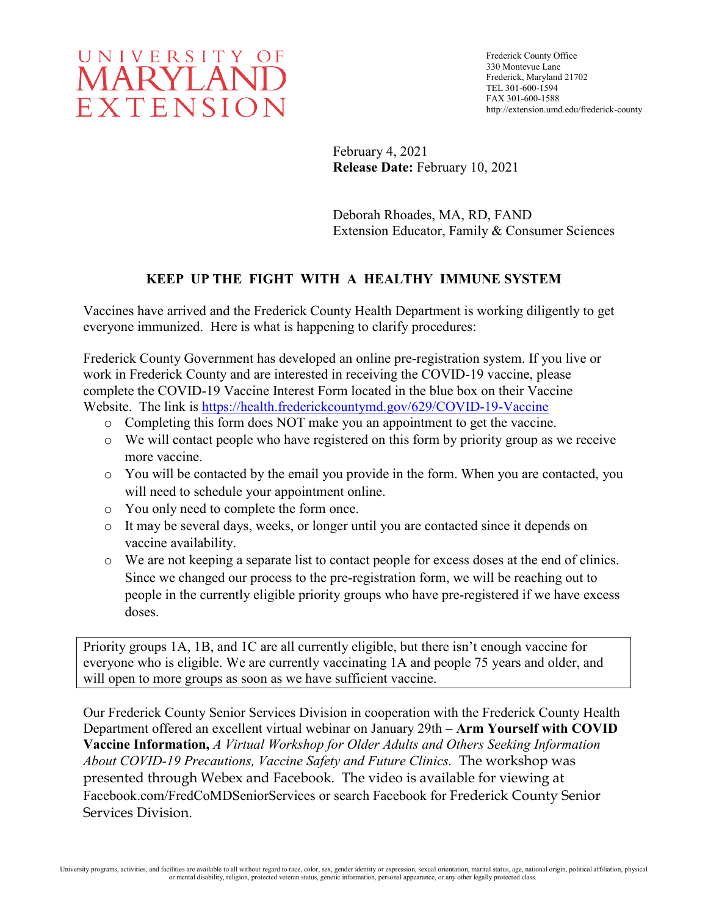

Frederick County Office 330 Montevue Lane Frederick, Maryland 21702 TEL 301-600-1594 FAX 301-600-1588 http://extension.umd.edu/frederick-county

February 4, 2021 **Release Date:** February 10, 2021

Deborah Rhoades, MA, RD, FAND Extension Educator, Family & Consumer Sciences

# **KEEP UP THE FIGHT WITH A HEALTHY IMMUNE SYSTEM**

Vaccines have arrived and the Frederick County Health Department is working diligently to get everyone immunized. Here is what is happening to clarify procedures:

Frederick County Government has developed an online pre-registration system. If you live or work in Frederick County and are interested in receiving the COVID-19 vaccine, please complete the COVID-19 Vaccine Interest Form located in the blue box on their Vaccine Website. The link is<https://health.frederickcountymd.gov/629/COVID-19-Vaccine>

- o Completing this form does NOT make you an appointment to get the vaccine.
- o We will contact people who have registered on this form by priority group as we receive more vaccine.
- o You will be contacted by the email you provide in the form. When you are contacted, you will need to schedule your appointment online.
- o You only need to complete the form once.
- o It may be several days, weeks, or longer until you are contacted since it depends on vaccine availability.
- o We are not keeping a separate list to contact people for excess doses at the end of clinics. Since we changed our process to the pre-registration form, we will be reaching out to people in the currently eligible priority groups who have pre-registered if we have excess doses.

Priority groups 1A, 1B, and 1C are all currently eligible, but there isn't enough vaccine for everyone who is eligible. We are currently vaccinating 1A and people 75 years and older, and will open to more groups as soon as we have sufficient vaccine.

Our Frederick County Senior Services Division in cooperation with the Frederick County Health Department offered an excellent virtual webinar on January 29th – **Arm Yourself with COVID Vaccine Information,** *A Virtual Workshop for Older Adults and Others Seeking Information About COVID-19 Precautions, Vaccine Safety and Future Clinics.* The workshop was presented through Webex and Facebook. The video is available for viewing at Facebook.com/FredCoMDSeniorServices or search Facebook for Frederick County Senior Services Division.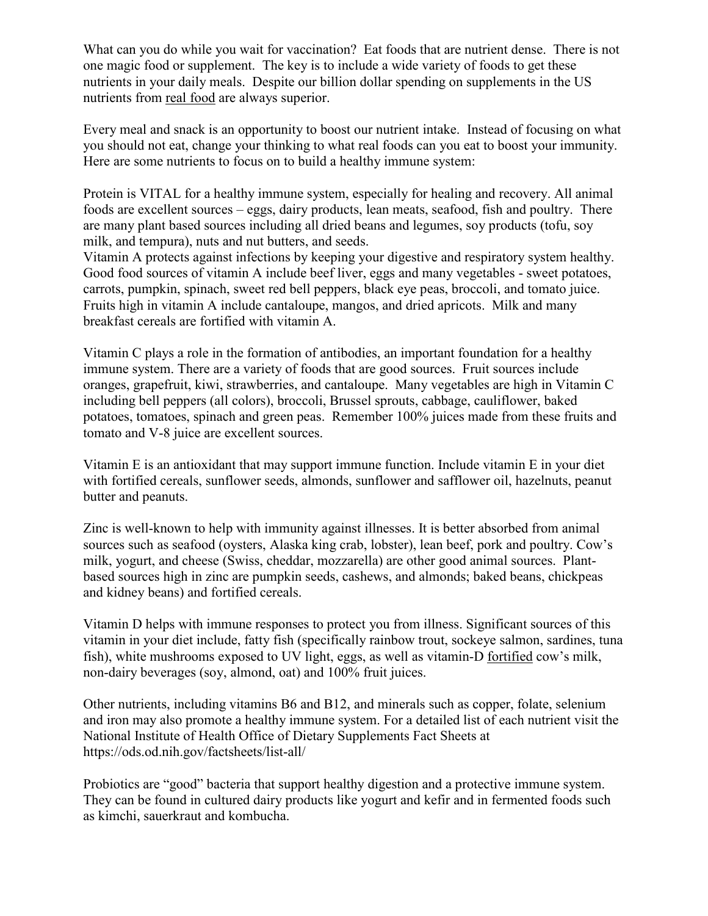What can you do while you wait for vaccination? Eat foods that are nutrient dense. There is not one magic food or supplement. The key is to include a wide variety of foods to get these nutrients in your daily meals. Despite our billion dollar spending on supplements in the US nutrients from real food are always superior.

Every meal and snack is an opportunity to boost our nutrient intake. Instead of focusing on what you should not eat, change your thinking to what real foods can you eat to boost your immunity. Here are some nutrients to focus on to build a healthy immune system:

Protein is VITAL for a healthy immune system, especially for healing and recovery. All animal foods are excellent sources – eggs, dairy products, lean meats, seafood, fish and poultry. There are many plant based sources including all dried beans and legumes, soy products (tofu, soy milk, and tempura), nuts and nut butters, and seeds.

Vitamin A protects against infections by keeping your digestive and respiratory system healthy. Good food sources of vitamin A include beef liver, eggs and many vegetables - sweet potatoes, carrots, pumpkin, spinach, sweet red bell peppers, black eye peas, broccoli, and tomato juice. Fruits high in vitamin A include cantaloupe, mangos, and dried apricots. Milk and many breakfast cereals are fortified with vitamin A.

Vitamin C plays a role in the formation of antibodies, an important foundation for a healthy immune system. There are a variety of foods that are good sources. Fruit sources include oranges, grapefruit, kiwi, strawberries, and cantaloupe. Many vegetables are high in Vitamin C including bell peppers (all colors), broccoli, Brussel sprouts, cabbage, cauliflower, baked potatoes, tomatoes, spinach and green peas. Remember 100% juices made from these fruits and tomato and V-8 juice are excellent sources.

Vitamin E is an antioxidant that may support immune function. Include vitamin E in your diet with fortified cereals, sunflower seeds, almonds, sunflower and safflower oil, hazelnuts, peanut butter and peanuts.

Zinc is well-known to help with immunity against illnesses. It is better absorbed from animal sources such as seafood (oysters, Alaska king crab, lobster), lean beef, pork and poultry. Cow's milk, yogurt, and cheese (Swiss, cheddar, mozzarella) are other good animal sources. Plantbased sources high in zinc are pumpkin seeds, cashews, and almonds; baked beans, chickpeas and kidney beans) and fortified cereals.

Vitamin D helps with immune responses to protect you from illness. Significant sources of this vitamin in your diet include, fatty fish (specifically rainbow trout, sockeye salmon, sardines, tuna fish), white mushrooms exposed to UV light, eggs, as well as vitamin-D fortified cow's milk, non-dairy beverages (soy, almond, oat) and 100% fruit juices.

Other nutrients, including vitamins B6 and B12, and minerals such as copper, folate, selenium and iron may also promote a healthy immune system. For a detailed list of each nutrient visit the National Institute of Health Office of Dietary Supplements Fact Sheets at https://ods.od.nih.gov/factsheets/list-all/

Probiotics are "good" bacteria that support healthy digestion and a protective immune system. They can be found in cultured dairy products like yogurt and kefir and in fermented foods such as kimchi, sauerkraut and kombucha.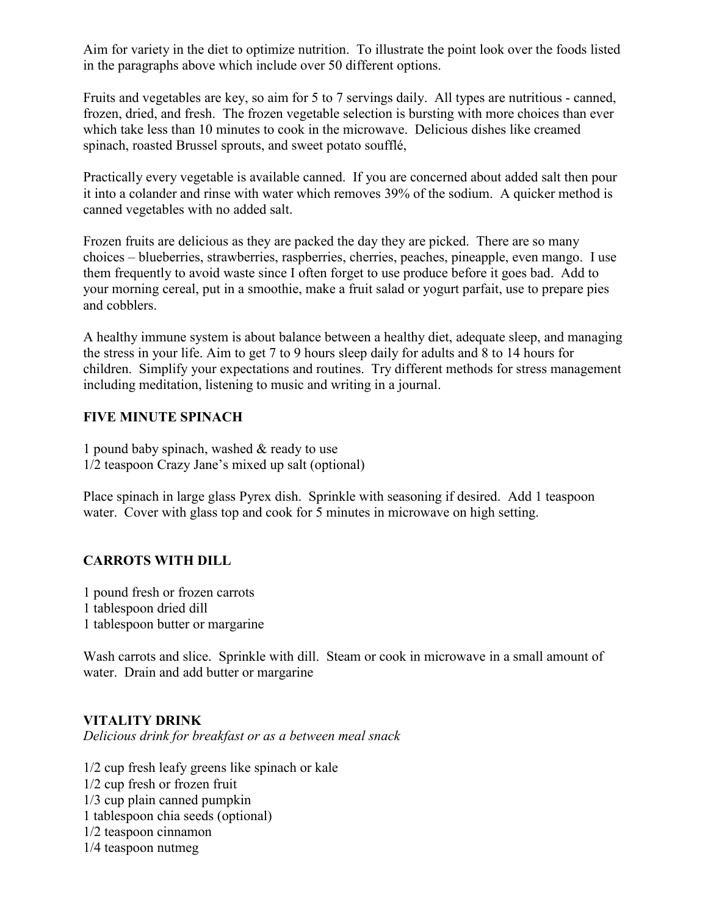Aim for variety in the diet to optimize nutrition. To illustrate the point look over the foods listed in the paragraphs above which include over 50 different options.

Fruits and vegetables are key, so aim for 5 to 7 servings daily. All types are nutritious - canned, frozen, dried, and fresh. The frozen vegetable selection is bursting with more choices than ever which take less than 10 minutes to cook in the microwave. Delicious dishes like creamed spinach, roasted Brussel sprouts, and sweet potato soufflé,

Practically every vegetable is available canned. If you are concerned about added salt then pour it into a colander and rinse with water which removes 39% of the sodium. A quicker method is canned vegetables with no added salt.

Frozen fruits are delicious as they are packed the day they are picked. There are so many choices – blueberries, strawberries, raspberries, cherries, peaches, pineapple, even mango. I use them frequently to avoid waste since I often forget to use produce before it goes bad. Add to your morning cereal, put in a smoothie, make a fruit salad or yogurt parfait, use to prepare pies and cobblers.

A healthy immune system is about balance between a healthy diet, adequate sleep, and managing the stress in your life. Aim to get 7 to 9 hours sleep daily for adults and 8 to 14 hours for children. Simplify your expectations and routines. Try different methods for stress management including meditation, listening to music and writing in a journal.

#### **FIVE MINUTE SPINACH**

1 pound baby spinach, washed & ready to use 1/2 teaspoon Crazy Jane's mixed up salt (optional)

Place spinach in large glass Pyrex dish. Sprinkle with seasoning if desired. Add 1 teaspoon water. Cover with glass top and cook for 5 minutes in microwave on high setting.

### **CARROTS WITH DILL**

1 pound fresh or frozen carrots 1 tablespoon dried dill 1 tablespoon butter or margarine

Wash carrots and slice. Sprinkle with dill. Steam or cook in microwave in a small amount of water. Drain and add butter or margarine

### **VITALITY DRINK**

*Delicious drink for breakfast or as a between meal snack* 

1/2 cup fresh leafy greens like spinach or kale 1/2 cup fresh or frozen fruit 1/3 cup plain canned pumpkin 1 tablespoon chia seeds (optional) 1/2 teaspoon cinnamon 1/4 teaspoon nutmeg